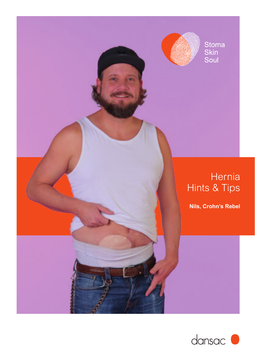

Stoma<br>Skin<br>Soul

### **Hernia** Hints & Tips

**Nils, Crohn's Rebel**

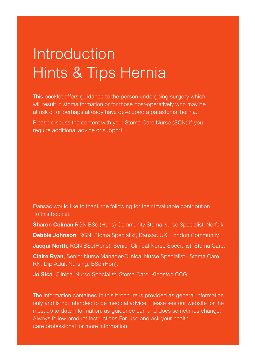# Introduction Hints & Tips Hernia

This booklet offers guidance to the person undergoing surgery which will result in stoma formation or for those post-operatively who may be at risk of or perhaps already have developed a parastomal hernia.

Please discuss the content with your Stoma Care Nurse (SCN) if you require additional advice or support.

Dansac would like to thank the following for their invaluable contribution to this booklet:

**Sharon Colman** RGN BSc (Hons) Community Stoma Nurse Specialist, Norfolk. **Debbie Johnson**, RGN, Stoma Specialist, Dansac UK, London Community. **Jacqui North,** RGN BSc(Hons), Senior Clinical Nurse Specialist, Stoma Care. **Claire Ryan**, Senior Nurse Manager/Clinical Nurse Specialist - Stoma Care RN, Dip Adult Nursing, BSc (Hon).

**Jo Sica**, Clinical Nurse Specialist, Stoma Care, Kingston CCG.

The information contained in this brochure is provided as general information only and is not intended to be medical advice. Please see our website for the most up to date information, as guidance can and does sometimes change. Always follow product Instructions For Use and ask your health care professional for more information.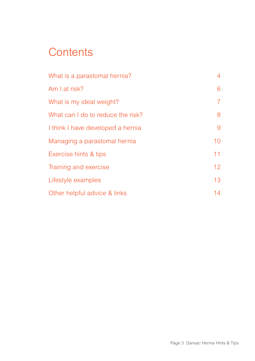### **Contents**

| What is a parastomal hernia?      | 4  |
|-----------------------------------|----|
| Am I at risk?                     | 6  |
| What is my ideal weight?          | 7  |
| What can I do to reduce the risk? | 8  |
| I think I have developed a hernia | 9  |
| Managing a parastomal hernia      | 10 |
| Exercise hints & tips             | 11 |
| Training and exercise             | 12 |
| Lifestyle examples                | 13 |
| Other helpful advice & links      | 14 |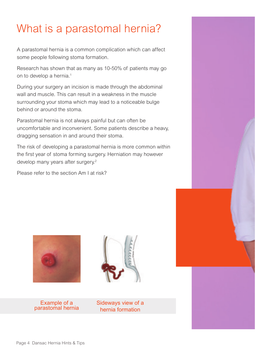## What is a parastomal hernia?

A parastomal hernia is a common complication which can affect some people following stoma formation.

Research has shown that as many as 10-50% of patients may go on to develop a hernia.<sup>1</sup>

During your surgery an incision is made through the abdominal wall and muscle. This can result in a weakness in the muscle surrounding your stoma which may lead to a noticeable bulge behind or around the stoma.

Parastomal hernia is not always painful but can often be uncomfortable and inconvenient. Some patients describe a heavy, dragging sensation in and around their stoma.

The risk of developing a parastomal hernia is more common within the first year of stoma forming surgery. Herniation may however develop many years after surgery.<sup>2</sup>

Please refer to the section Am I at risk?



Example of a parastomal hernia



Sideways view of a hernia formation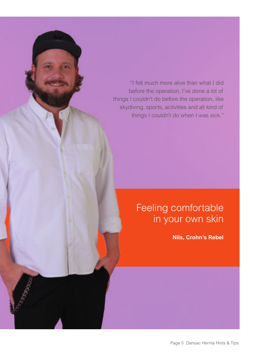"I felt much more alive than what I did before the operation. I've done a lot of things I couldn't do before the operation, like skydiving, sports, activities and all kind of things I couldn't do when I was sick."

### Feeling comfortable in your own skin

**Nils, Crohn's Rebel**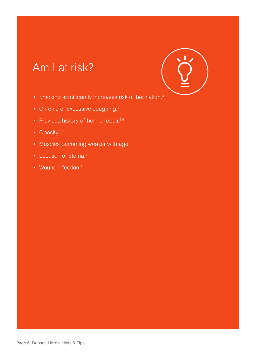### Am I at risk?



- Smoking significantly increases risk of herniation.<sup>3</sup>
- Chronic or excessive coughing.<sup>1</sup>
- Previous history of hernia repair.<sup>1,4</sup>
- Obesity. $1,4$
- Muscles becoming weaker with age.<sup>1</sup>
- Location of stoma.<sup>4</sup>
- Wound infection.<sup>1</sup>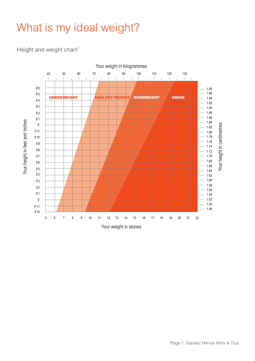### What is my ideal weight?

#### Height and weight chart<sup>7</sup>

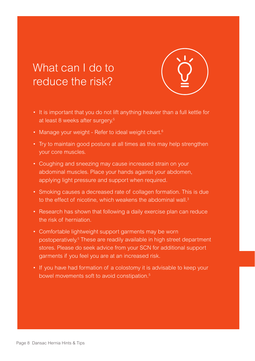### What can I do to reduce the risk?



- It is important that you do not lift anything heavier than a full kettle for at least 8 weeks after surgery.5
- Manage your weight Refer to ideal weight chart.<sup>6</sup>
- Try to maintain good posture at all times as this may help strengthen your core muscles.
- Coughing and sneezing may cause increased strain on your abdominal muscles. Place your hands against your abdomen, applying light pressure and support when required.
- Smoking causes a decreased rate of collagen formation. This is due to the effect of nicotine, which weakens the abdominal wall.<sup>3</sup>
- Research has shown that following a daily exercise plan can reduce the risk of herniation.
- Comfortable lightweight support garments may be worn postoperatively.<sup>5</sup> These are readily available in high street department stores. Please do seek advice from your SCN for additional support garments if you feel you are at an increased risk.
- If you have had formation of a colostomy it is advisable to keep your bowel movements soft to avoid constipation.<sup>5</sup>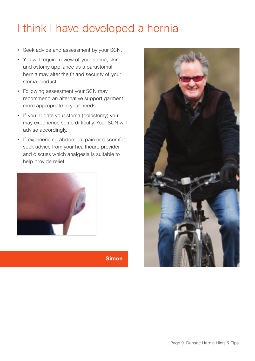### I think I have developed a hernia

- Seek advice and assessment by your SCN.
- You will require review of your stoma, skin and ostomy appliance as a parastomal hernia may alter the fit and security of your stoma product.
- Following assessment your SCN may recommend an alternative support garment more appropriate to your needs.
- If you irrigate your stoma (colostomy) you may experience some difficulty. Your SCN will advise accordingly.
- If experiencing abdominal pain or discomfort seek advice from your healthcare provider and discuss which analgesia is suitable to help provide relief.



**Simon**

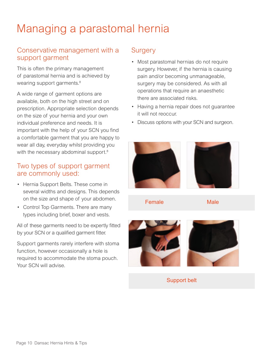## Managing a parastomal hernia

### Conservative management with a support garment

This is often the primary management of parastomal hernia and is achieved by wearing support garments.<sup>8</sup>

A wide range of garment options are available, both on the high street and on prescription. Appropriate selection depends on the size of your hernia and your own individual preference and needs. It is important with the help of your SCN you find a comfortable garment that you are happy to wear all day, everyday whilst providing you with the necessary abdominal support.<sup>8</sup>

#### Two types of support garment are commonly used:

- Hernia Support Belts. These come in several widths and designs. This depends on the size and shape of your abdomen.
- Control Top Garments. There are many types including brief, boxer and vests.

All of these garments need to be expertly fitted by your SCN or a qualified garment fitter.

Support garments rarely interfere with stoma function, however occasionally a hole is required to accommodate the stoma pouch. Your SCN will advise.

### **Surgery**

- Most parastomal hernias do not require surgery. However, if the hernia is causing pain and/or becoming unmanageable, surgery may be considered. As with all operations that require an anaesthetic there are associated risks.
- Having a hernia repair does not guarantee it will not reoccur.
- Discuss options with your SCN and surgeon.





Female Male



Support belt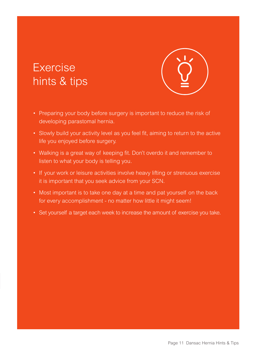### Exercise hints & tips



- Preparing your body before surgery is important to reduce the risk of developing parastomal hernia.
- Slowly build your activity level as you feel fit, aiming to return to the active life you enjoyed before surgery.
- Walking is a great way of keeping fit. Don't overdo it and remember to listen to what your body is telling you.
- If your work or leisure activities involve heavy lifting or strenuous exercise it is important that you seek advice from your SCN.
- Most important is to take one day at a time and pat yourself on the back for every accomplishment - no matter how little it might seem!
- Set yourself a target each week to increase the amount of exercise you take.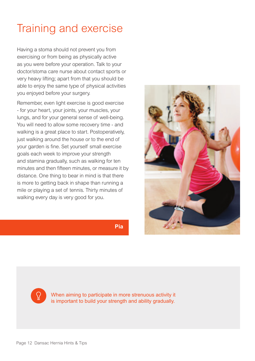### Training and exercise

Having a stoma should not prevent you from exercising or from being as physically active as you were before your operation. Talk to your doctor/stoma care nurse about contact sports or very heavy lifting; apart from that you should be able to enjoy the same type of physical activities you enjoyed before your surgery.

Remember, even light exercise is good exercise - for your heart, your joints, your muscles, your lungs, and for your general sense of well-being. You will need to allow some recovery time - and walking is a great place to start. Postoperatively, just walking around the house or to the end of your garden is fine. Set yourself small exercise goals each week to improve your strength and stamina gradually, such as walking for ten minutes and then fifteen minutes, or measure it by distance. One thing to bear in mind is that there is more to getting back in shape than running a mile or playing a set of tennis. Thirty minutes of walking every day is very good for you.



**Pia**



When aiming to participate in more strenuous activity it is important to build your strength and ability gradually.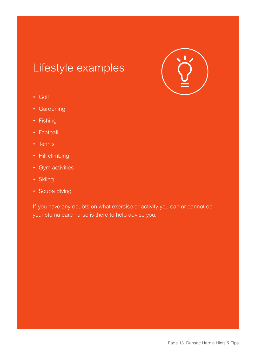### Lifestyle examples



- Golf
- Gardening
- Fishing
- Football
- Tennis
- Hill climbing
- Gym activities
- Skiing
- Scuba diving

If you have any doubts on what exercise or activity you can or cannot do, your stoma care nurse is there to help advise you.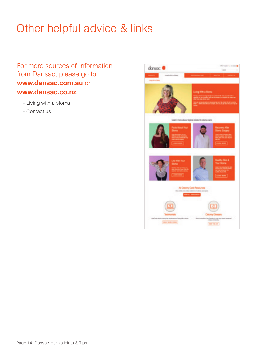## Other helpful advice & links

For more sources of information from Dansac, please go to: **www.dansac.com.au** or **www.dansac.co.nz**:

- Living with a stoma
- Contact us

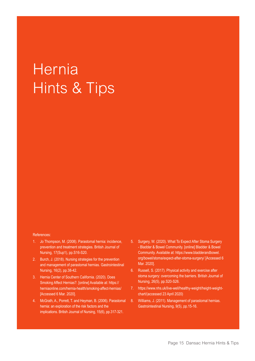# **Hernia** Hints & Tips

#### References:

- 1. Jo Thompson, M. (2008). Parastomal hernia: incidence, prevention and treatment strategies. British Journal of Nursing, 17(Sup1), pp.S16-S20.
- 2. Burch, J. (2018). Nursing strategies for the prevention and management of parastomal hernias. Gastrointestinal Nursing, 16(2), pp.38-42.
- 3. Hernia Center of Southern California. (2020). Does Smoking Affect Hernias?. [online] Available at: https:// herniaonline.com/hernia-health/smoking-affect-hernias/ [Accessed 6 Mar. 2020].
- 4. McGrath, A., Porrett, T. and Heyman, B. (2006). Parastomal hernia: an exploration of the risk factors and the implications. British Journal of Nursing, 15(6), pp.317-321.
- 5. Surgery, W. (2020). What To Expect After Stoma Surgery - Bladder & Bowel Community. [online] Bladder & Bowel Community. Available at: https://www.bladderandbowel. org/bowel/stoma/expect-after-stoma-surgery/ [Accessed 6 Mar. 2020].
- 6. Russell, S. (2017). Physical activity and exercise after stoma surgery: overcoming the barriers. British Journal of Nursing, 26(5), pp.S20-S26.
- 7. https://www.nhs.uk/live-well/healthy-weight/height-weightchart/(accessed 23 April 2020)
- 8. Williams, J. (2011). Management of parastomal hernias. Gastrointestinal Nursing, 9(5), pp.15-16.